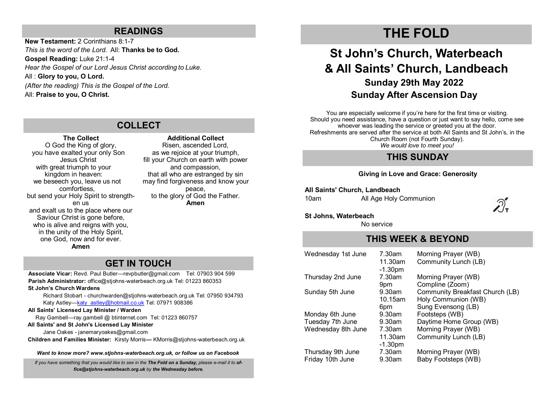## **READINGS**

**New Testament:** 2 Corinthians 8:1-7 *This is the word of the Lord.* All: **Thanks be to God. Gospel Reading:** Luke 21:1-4 *Hear the Gospel of our Lord Jesus Christ according to Luke.* All : **Glory to you, O Lord.** *(After the reading) This is the Gospel of the Lord.*  All: **Praise to you, O Christ.**

## **COLLECT**

## **The Collect** O God the King of glory, you have exalted your only Son Jesus Christ with great triumph to your kingdom in heaven: we beseech you, leave us not comfortless, but send your Holy Spirit to strengthen us and exalt us to the place where our Saviour Christ is gone before. who is alive and reigns with you. in the unity of the Holy Spirit, one God, now and for ever.

**Amen**

## **Additional Collect**

Risen, ascended Lord, as we rejoice at your triumph, fill your Church on earth with power and compassion, that all who are estranged by sin may find forgiveness and know your peace, to the glory of God the Father. **Amen**

## **GET IN TOUCH**

**Associate Vicar:** Revd. Paul Butler—[revpbutler@gmail.com](mailto:revpbutler@gmail.com) Tel: 07903 904 599 **Parish Administrator:** office@stjohns-waterbeach.org.uk Tel: 01223 860353

## **St John's Church Wardens**

Richard Stobart - churchwarden@stjohns-waterbeach.org.uk Tel: 07950 934793 Katy Astley-katy astley@hotmail.co.uk Tel: 07971 908386

#### **All Saints' Licensed Lay Minister / Warden**

Ray Gambell—ray.gambell @ btinternet.com Tel: 01223 860757

#### **All Saints' and St John's Licensed Lay Minister**

Jane Oakes - janemaryoakes@gmail.com

**Children and Families Minister:** Kirsty Morris**—** KMorris@stjohns-waterbeach.org.uk

*Want to know more? www.stjohns-waterbeach.org.uk, or follow us on Facebook*

*If you have something that you would like to see in the The Fold on a Sunday, please e-mail it to office@stjohns-waterbeach.org.uk by the Wednesday before.* 

# **THE FOLD**

# **St John's Church, Waterbeach & All Saints' Church, Landbeach Sunday 29th May 2022 Sunday After Ascension Day**

You are especially welcome if you're here for the first time or visiting. Should you need assistance, have a question or just want to say hello, come see whoever was leading the service or greeted you at the door. Refreshments are served after the service at both All Saints and St John's, in the Church Room (not Fourth Sunday). *We would love to meet you!* 

## **THIS SUNDAY**

## **Giving in Love and Grace: Generosity**

**All Saints' Church, Landbeach**

10am All Age Holy Communion



## **St Johns, Waterbeach**

No service

## **THIS WEEK & BEYOND**

| Wednesday 1st June | 7.30am               | Morning Prayer (WB)             |
|--------------------|----------------------|---------------------------------|
|                    | 11.30am<br>$-1.30pm$ | Community Lunch (LB)            |
| Thursday 2nd June  | 7.30am               | Morning Prayer (WB)             |
|                    | 9 <sub>pm</sub>      | Compline (Zoom)                 |
| Sunday 5th June    | 9.30am               | Community Breakfast Church (LB) |
|                    | 10.15am              | Holy Communion (WB)             |
|                    | 6pm                  | Sung Evensong (LB)              |
| Monday 6th June    | $9.30$ am            | Footsteps (WB)                  |
| Tuesday 7th June   | 9.30am               | Daytime Home Group (WB)         |
| Wednesday 8th June | 7.30am               | Morning Prayer (WB)             |
|                    | 11.30am              | Community Lunch (LB)            |
|                    | $-1.30pm$            |                                 |
| Thursday 9th June  | 7.30am               | Morning Prayer (WB)             |
| Friday 10th June   | 9.30am               | Baby Footsteps (WB)             |
|                    |                      |                                 |